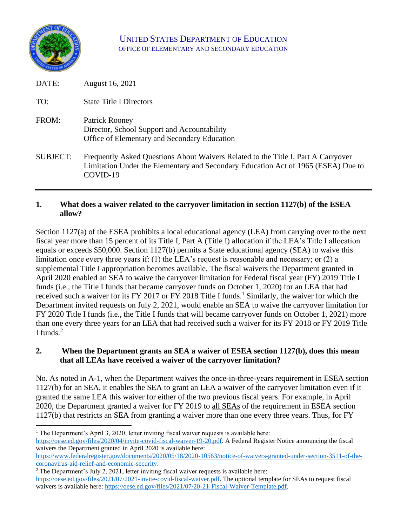

# UNITED STATES DEPARTMENT OF EDUCATION OFFICE OF ELEMENTARY AND SECONDARY EDUCATION

| DATE:           | August 16, 2021                                                                                                                                                                    |
|-----------------|------------------------------------------------------------------------------------------------------------------------------------------------------------------------------------|
| TO:             | <b>State Title I Directors</b>                                                                                                                                                     |
| FROM:           | Patrick Rooney<br>Director, School Support and Accountability<br>Office of Elementary and Secondary Education                                                                      |
| <b>SUBJECT:</b> | Frequently Asked Questions About Waivers Related to the Title I, Part A Carryover<br>Limitation Under the Elementary and Secondary Education Act of 1965 (ESEA) Due to<br>COVID-19 |

### **1. What does a waiver related to the carryover limitation in section 1127(b) of the ESEA allow?**

Section 1127(a) of the ESEA prohibits a local educational agency (LEA) from carrying over to the next fiscal year more than 15 percent of its Title I, Part A (Title I) allocation if the LEA's Title I allocation equals or exceeds \$50,000. Section 1127(b) permits a State educational agency (SEA) to waive this limitation once every three years if: (1) the LEA's request is reasonable and necessary; or (2) a supplemental Title I appropriation becomes available. The fiscal waivers the Department granted in April 2020 enabled an SEA to waive the carryover limitation for Federal fiscal year (FY) 2019 Title I funds (i.e., the Title I funds that became carryover funds on October 1, 2020) for an LEA that had received such a waiver for its FY 2017 or FY 2018 Title I funds.<sup>1</sup> Similarly, the waiver for which the Department invited requests on July 2, 2021, would enable an SEA to waive the carryover limitation for FY 2020 Title I funds (i.e., the Title I funds that will became carryover funds on October 1, 2021) more than one every three years for an LEA that had received such a waiver for its FY 2018 or FY 2019 Title I funds. 2

#### **2. When the Department grants an SEA a waiver of ESEA section 1127(b), does this mean that all LEAs have received a waiver of the carryover limitation?**

No. As noted in A-1, when the Department waives the once-in-three-years requirement in ESEA section 1127(b) for an SEA, it enables the SEA to grant an LEA a waiver of the carryover limitation even if it granted the same LEA this waiver for either of the two previous fiscal years. For example, in April 2020, the Department granted a waiver for FY 2019 to all SEAs of the requirement in ESEA section 1127(b) that restricts an SEA from granting a waiver more than one every three years. Thus, for FY

<sup>2</sup> The Department's July 2, 2021, letter inviting fiscal waiver requests is available here: [https://oese.ed.gov/files/2021/07/2021-invite-covid-fiscal-waiver.pdf.](https://oese.ed.gov/files/2021/07/2021-invite-covid-fiscal-waiver.pdf) The optional template for SEAs to request fiscal waivers is available here: [https://oese.ed.gov/files/2021/07/20-21-Fiscal-Waiver-Template.pdf.](https://oese.ed.gov/files/2021/07/20-21-Fiscal-Waiver-Template.pdf)

<sup>&</sup>lt;sup>1</sup> The Department's April 3, 2020, letter inviting fiscal waiver requests is available here: [https://oese.ed.gov/files/2020/04/invite-covid-fiscal-waiver-19-20.pdf.](https://oese.ed.gov/files/2020/04/invite-covid-fiscal-waiver-19-20.pdf) A Federal Register Notice announcing the fiscal waivers the Department granted in April 2020 is available here:

[https://www.federalregister.gov/documents/2020/05/18/2020-10563/notice-of-waivers-granted-under-section-3511-of-the](https://www.federalregister.gov/documents/2020/05/18/2020-10563/notice-of-waivers-granted-under-section-3511-of-the-coronavirus-aid-relief-and-economic-security)[coronavirus-aid-relief-and-economic-security.](https://www.federalregister.gov/documents/2020/05/18/2020-10563/notice-of-waivers-granted-under-section-3511-of-the-coronavirus-aid-relief-and-economic-security)